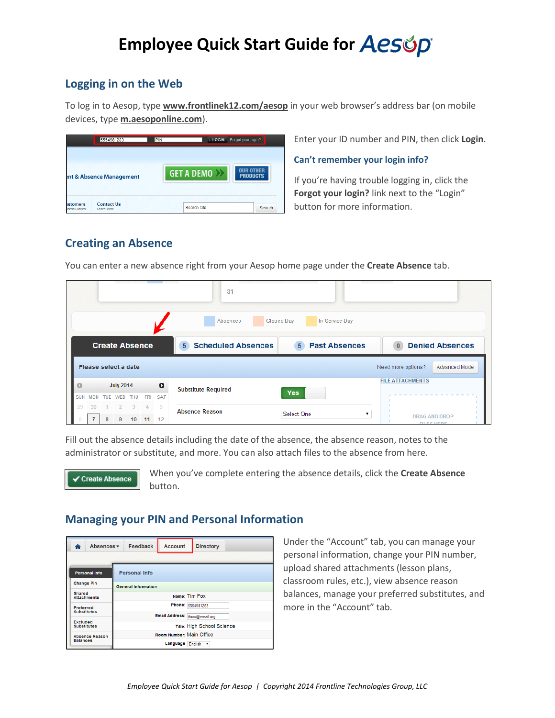# Employee Quick Start Guide for Aesop

### Logging in on the Web

To log in to Aesop, type www.frontlinek12.com/aesop in your web browser's address bar (on mobile devices, type m.aesoponline.com).

|                                     | 5554981283                      | PIN<br><b>LOGIN</b>  | Forgot your login?                  |  |  |
|-------------------------------------|---------------------------------|----------------------|-------------------------------------|--|--|
| <b>Int &amp; Absence Management</b> |                                 | <b>GET A DEMO</b> >> | <b>IIR OTHER</b><br><b>PRODUCTS</b> |  |  |
| <b>istomers</b><br>cess Stories     | <b>Contact Us</b><br>Learn More | Search site          | Search                              |  |  |

Enter your ID number and PIN, then click Login.

Can't remember your login info?

If you're having trouble logging in, click the Forgot your login? link next to the "Login" button for more information.

### **Creating an Absence**

 $31$ Absences Closed Day In-Service Day **Create Absence 5** Scheduled Absences **5** Past Absences 0 Denied Absences Please select a date Advanced Mode Need more options? **FILE ATTACHMENTS July 2014**  $\bullet$ **Substitute Required** Yes SUN MON TUE WED THU FRI SAT  $30 \t1 \t2 \t3 \t4$ - 5 **Absence Reason** Select One  $\overline{\mathbf{r}}$ **DRAG AND DROP** 7 8 9 10 11 12

Fill out the absence details including the date of the absence, the absence reason, notes to the administrator or substitute, and more. You can also attach files to the absence from here.

You can enter a new absence right from your Aesop home page under the Create Absence tab.



When you've complete entering the absence details, click the Create Absence button.

## **Managing your PIN and Personal Information**

| Absences v<br>♠                       | <b>Account</b><br><b>Feedback</b><br><b>Directory</b> |  |  |  |  |  |  |  |
|---------------------------------------|-------------------------------------------------------|--|--|--|--|--|--|--|
| <b>Personal Info</b>                  | <b>Personal Info</b>                                  |  |  |  |  |  |  |  |
| <b>Change Pin</b>                     | <b>General Information</b>                            |  |  |  |  |  |  |  |
| <b>Shared</b><br><b>Attachments</b>   | Name: Tim Fox                                         |  |  |  |  |  |  |  |
| <b>Preferred</b>                      | Phone: 5554981283                                     |  |  |  |  |  |  |  |
| <b>Substitutes</b>                    | Email Address: tfoxx@email.org                        |  |  |  |  |  |  |  |
| <b>Excluded</b><br><b>Substitutes</b> | Title: High School Science                            |  |  |  |  |  |  |  |
| <b>Absence Reason</b>                 | Room Number: Main Office                              |  |  |  |  |  |  |  |
| <b>Balances</b>                       | Language<br>English v                                 |  |  |  |  |  |  |  |

Under the "Account" tab, you can manage your personal information, change your PIN number, upload shared attachments (lesson plans, classroom rules, etc.), view absence reason balances, manage your preferred substitutes, and more in the "Account" tab.